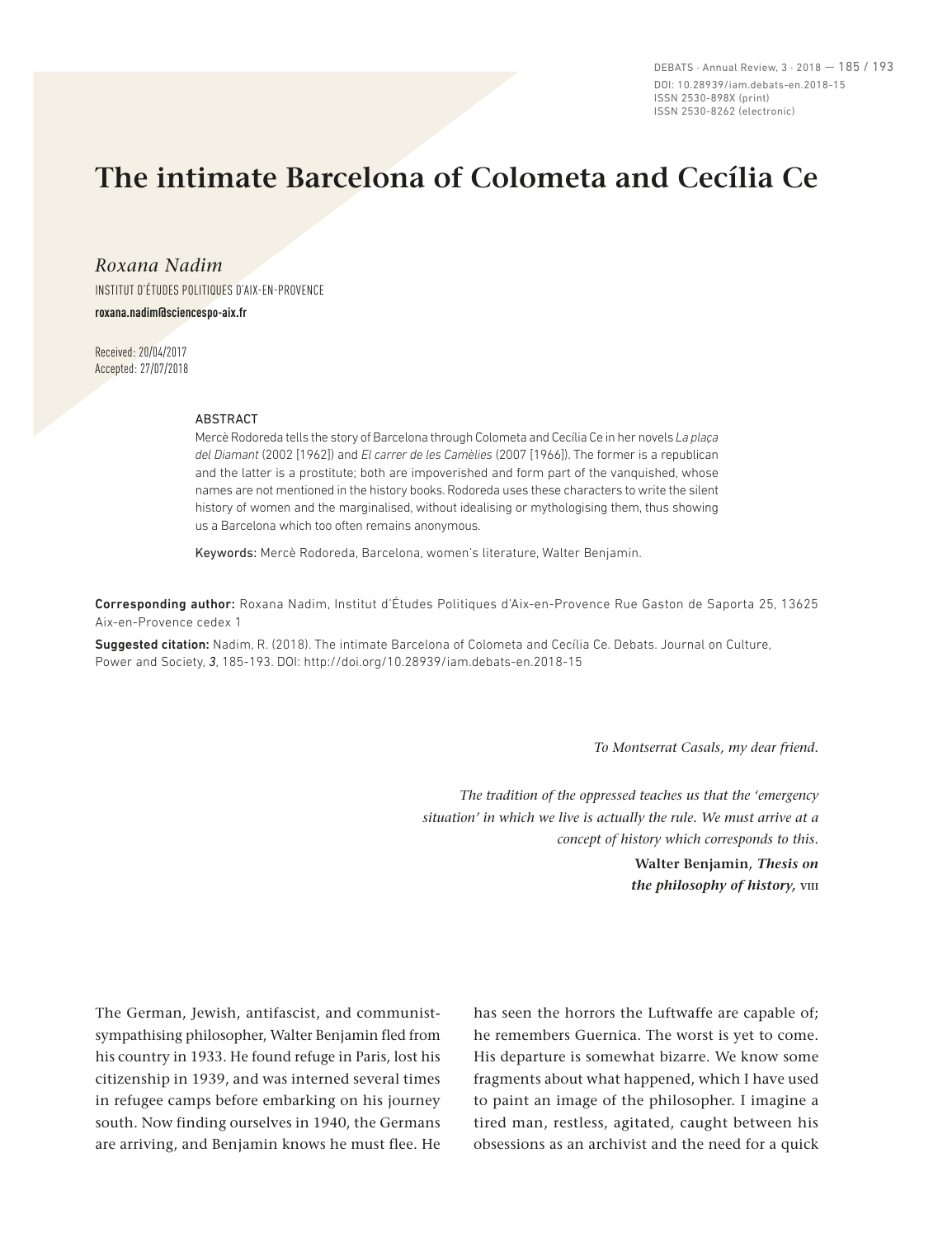DEBATS · Annual Review, 3 · 2018 — 185 / 193 DOI: 10.28939/iam.debats-en.2018-15 ISSN 2530-898X (print) ISSN 2530-8262 (electronic)

# **The intimate Barcelona of Colometa and Cecília Ce**

*Roxana Nadim* 

INSTITUT D'ÉTUDES POLITIQUES D'AIX-EN-PROVENCE **roxana.nadim@sciencespo-aix.fr**

Received: 20/04/2017 Accepted: 27/07/2018

#### ABSTRACT

Mercè Rodoreda tells the story of Barcelona through Colometa and Cecília Ce in her novels *La plaça del Diamant* (2002 [1962]) and *El carrer de les Camèlies* (2007 [1966]). The former is a republican and the latter is a prostitute; both are impoverished and form part of the vanquished, whose names are not mentioned in the history books. Rodoreda uses these characters to write the silent history of women and the marginalised, without idealising or mythologising them, thus showing us a Barcelona which too often remains anonymous.

Keywords: Mercè Rodoreda, Barcelona, women's literature, Walter Benjamin.

Corresponding author: Roxana Nadim, Institut d'Études Politiques d'Aix-en-Provence Rue Gaston de Saporta 25, 13625 Aix-en-Provence cedex 1

Suggested citation: Nadim, R. (2018). The intimate Barcelona of Colometa and Cecília Ce. Debats. Journal on Culture, Power and Society, *3*, 185-193. DOI: http://doi.org/10.28939/iam.debats-en.2018-15

*To Montserrat Casals, my dear friend.*

*The tradition of the oppressed teaches us that the 'emergency situation' in which we live is actually the rule. We must arrive at a concept of history which corresponds to this.*

> **Walter Benjamin,** *Thesis on the philosophy of history,* **viii**

The German, Jewish, antifascist, and communistsympathising philosopher, Walter Benjamin fled from his country in 1933. He found refuge in Paris, lost his citizenship in 1939, and was interned several times in refugee camps before embarking on his journey south. Now finding ourselves in 1940, the Germans are arriving, and Benjamin knows he must flee. He has seen the horrors the Luftwaffe are capable of; he remembers Guernica. The worst is yet to come. His departure is somewhat bizarre. We know some fragments about what happened, which I have used to paint an image of the philosopher. I imagine a tired man, restless, agitated, caught between his obsessions as an archivist and the need for a quick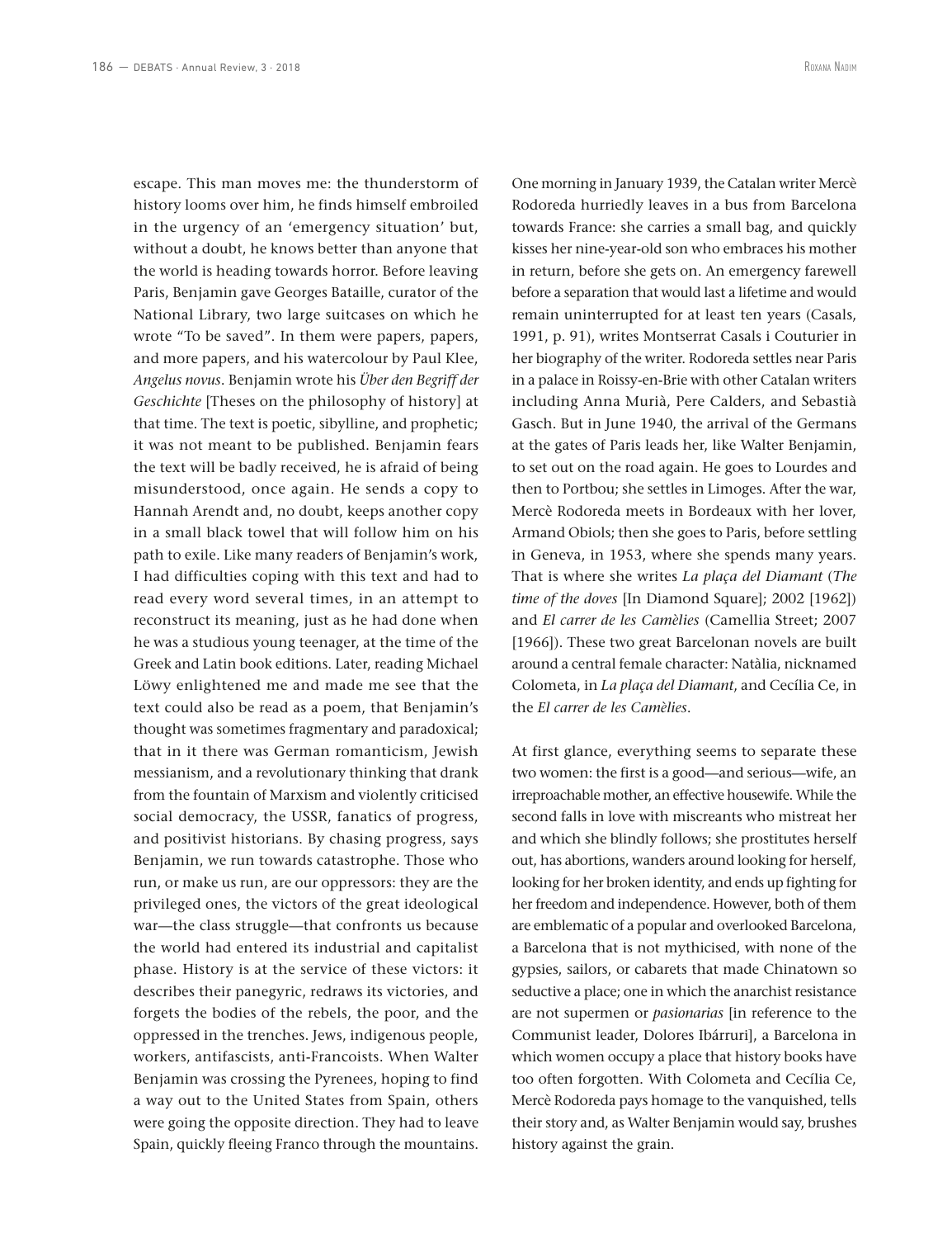escape. This man moves me: the thunderstorm of history looms over him, he finds himself embroiled in the urgency of an 'emergency situation' but, without a doubt, he knows better than anyone that the world is heading towards horror. Before leaving Paris, Benjamin gave Georges Bataille, curator of the National Library, two large suitcases on which he wrote "To be saved". In them were papers, papers, and more papers, and his watercolour by Paul Klee, *Angelus novus*. Benjamin wrote his *Über den Begriff der Geschichte* [Theses on the philosophy of history] at that time. The text is poetic, sibylline, and prophetic; it was not meant to be published. Benjamin fears the text will be badly received, he is afraid of being misunderstood, once again. He sends a copy to Hannah Arendt and, no doubt, keeps another copy in a small black towel that will follow him on his path to exile. Like many readers of Benjamin's work, I had difficulties coping with this text and had to read every word several times, in an attempt to reconstruct its meaning, just as he had done when he was a studious young teenager, at the time of the Greek and Latin book editions. Later, reading Michael Löwy enlightened me and made me see that the text could also be read as a poem, that Benjamin's thought was sometimes fragmentary and paradoxical; that in it there was German romanticism, Jewish messianism, and a revolutionary thinking that drank from the fountain of Marxism and violently criticised social democracy, the USSR, fanatics of progress, and positivist historians. By chasing progress, says Benjamin, we run towards catastrophe. Those who run, or make us run, are our oppressors: they are the privileged ones, the victors of the great ideological war—the class struggle—that confronts us because the world had entered its industrial and capitalist phase. History is at the service of these victors: it describes their panegyric, redraws its victories, and forgets the bodies of the rebels, the poor, and the oppressed in the trenches. Jews, indigenous people, workers, antifascists, anti-Francoists. When Walter Benjamin was crossing the Pyrenees, hoping to find a way out to the United States from Spain, others were going the opposite direction. They had to leave Spain, quickly fleeing Franco through the mountains.

One morning in January 1939, the Catalan writer Mercè Rodoreda hurriedly leaves in a bus from Barcelona towards France: she carries a small bag, and quickly kisses her nine-year-old son who embraces his mother in return, before she gets on. An emergency farewell before a separation that would last a lifetime and would remain uninterrupted for at least ten years (Casals, 1991, p. 91), writes Montserrat Casals i Couturier in her biography of the writer. Rodoreda settles near Paris in a palace in Roissy-en-Brie with other Catalan writers including Anna Murià, Pere Calders, and Sebastià Gasch. But in June 1940, the arrival of the Germans at the gates of Paris leads her, like Walter Benjamin, to set out on the road again. He goes to Lourdes and then to Portbou; she settles in Limoges. After the war, Mercè Rodoreda meets in Bordeaux with her lover, Armand Obiols; then she goes to Paris, before settling in Geneva, in 1953, where she spends many years. That is where she writes *La plaça del Diamant* (*The time of the doves* [In Diamond Square]; 2002 [1962]) and *El carrer de les Camèlies* (Camellia Street; 2007 [1966]). These two great Barcelonan novels are built around a central female character: Natàlia, nicknamed Colometa, in *La plaça del Diamant*, and Cecília Ce, in the *El carrer de les Camèlies*.

At first glance, everything seems to separate these two women: the first is a good—and serious—wife, an irreproachable mother, an effective housewife. While the second falls in love with miscreants who mistreat her and which she blindly follows; she prostitutes herself out, has abortions, wanders around looking for herself, looking for her broken identity, and ends up fighting for her freedom and independence. However, both of them are emblematic of a popular and overlooked Barcelona, a Barcelona that is not mythicised, with none of the gypsies, sailors, or cabarets that made Chinatown so seductive a place; one in which the anarchist resistance are not supermen or *pasionarias* [in reference to the Communist leader, Dolores Ibárruri], a Barcelona in which women occupy a place that history books have too often forgotten. With Colometa and Cecília Ce, Mercè Rodoreda pays homage to the vanquished, tells their story and, as Walter Benjamin would say, brushes history against the grain.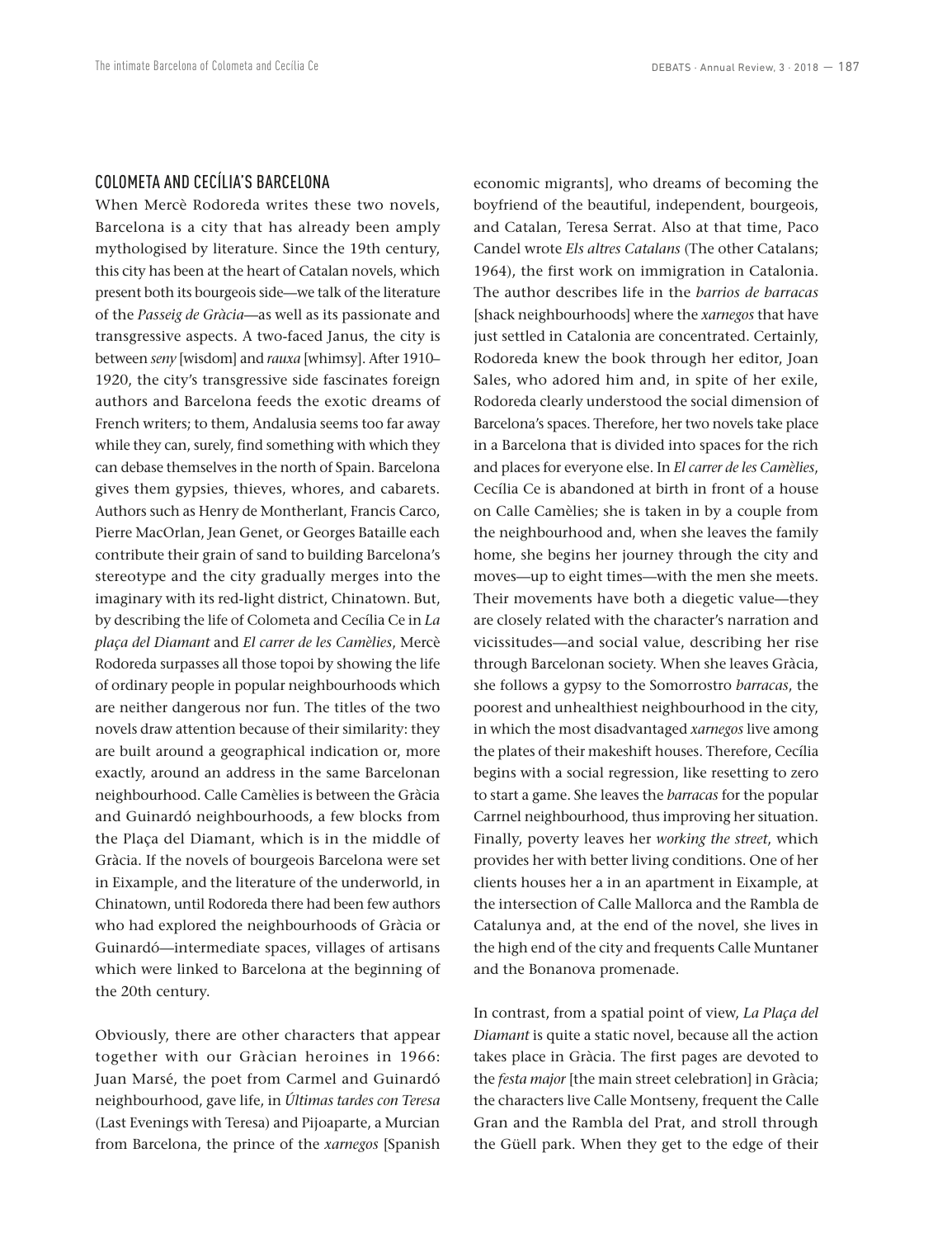## COLOMETA AND CECÍLIA'S BARCELONA

When Mercè Rodoreda writes these two novels, Barcelona is a city that has already been amply mythologised by literature. Since the 19th century, this city has been at the heart of Catalan novels, which present both its bourgeois side—we talk of the literature of the *Passeig de Gràcia*—as well as its passionate and transgressive aspects. A two-faced Janus, the city is between *seny* [wisdom] and *rauxa* [whimsy]. After 1910– 1920, the city's transgressive side fascinates foreign authors and Barcelona feeds the exotic dreams of French writers; to them, Andalusia seems too far away while they can, surely, find something with which they can debase themselves in the north of Spain. Barcelona gives them gypsies, thieves, whores, and cabarets. Authors such as Henry de Montherlant, Francis Carco, Pierre MacOrlan, Jean Genet, or Georges Bataille each contribute their grain of sand to building Barcelona's stereotype and the city gradually merges into the imaginary with its red-light district, Chinatown. But, by describing the life of Colometa and Cecília Ce in *La plaça del Diamant* and *El carrer de les Camèlies*, Mercè Rodoreda surpasses all those topoi by showing the life of ordinary people in popular neighbourhoods which are neither dangerous nor fun. The titles of the two novels draw attention because of their similarity: they are built around a geographical indication or, more exactly, around an address in the same Barcelonan neighbourhood. Calle Camèlies is between the Gràcia and Guinardó neighbourhoods, a few blocks from the Plaça del Diamant, which is in the middle of Gràcia. If the novels of bourgeois Barcelona were set in Eixample, and the literature of the underworld, in Chinatown, until Rodoreda there had been few authors who had explored the neighbourhoods of Gràcia or Guinardó—intermediate spaces, villages of artisans which were linked to Barcelona at the beginning of the 20th century.

Obviously, there are other characters that appear together with our Gràcian heroines in 1966: Juan Marsé, the poet from Carmel and Guinardó neighbourhood, gave life, in *Últimas tardes con Teresa*  (Last Evenings with Teresa) and Pijoaparte, a Murcian from Barcelona, the prince of the *xarnegos* [Spanish economic migrants], who dreams of becoming the boyfriend of the beautiful, independent, bourgeois, and Catalan, Teresa Serrat. Also at that time, Paco Candel wrote *Els altres Catalans* (The other Catalans; 1964), the first work on immigration in Catalonia. The author describes life in the *barrios de barracas*  [shack neighbourhoods] where the *xarnegos* that have just settled in Catalonia are concentrated. Certainly, Rodoreda knew the book through her editor, Joan Sales, who adored him and, in spite of her exile, Rodoreda clearly understood the social dimension of Barcelona's spaces. Therefore, her two novels take place in a Barcelona that is divided into spaces for the rich and places for everyone else. In *El carrer de les Camèlies*, Cecília Ce is abandoned at birth in front of a house on Calle Camèlies; she is taken in by a couple from the neighbourhood and, when she leaves the family home, she begins her journey through the city and moves—up to eight times—with the men she meets. Their movements have both a diegetic value—they are closely related with the character's narration and vicissitudes—and social value, describing her rise through Barcelonan society. When she leaves Gràcia, she follows a gypsy to the Somorrostro *barracas*, the poorest and unhealthiest neighbourhood in the city, in which the most disadvantaged *xarnegos* live among the plates of their makeshift houses. Therefore, Cecília begins with a social regression, like resetting to zero to start a game. She leaves the *barracas* for the popular Carrnel neighbourhood, thus improving her situation. Finally, poverty leaves her *working the street*, which provides her with better living conditions. One of her clients houses her a in an apartment in Eixample, at the intersection of Calle Mallorca and the Rambla de Catalunya and, at the end of the novel, she lives in the high end of the city and frequents Calle Muntaner and the Bonanova promenade.

In contrast, from a spatial point of view, *La Plaça del Diamant* is quite a static novel, because all the action takes place in Gràcia. The first pages are devoted to the *festa major* [the main street celebration] in Gràcia; the characters live Calle Montseny, frequent the Calle Gran and the Rambla del Prat, and stroll through the Güell park. When they get to the edge of their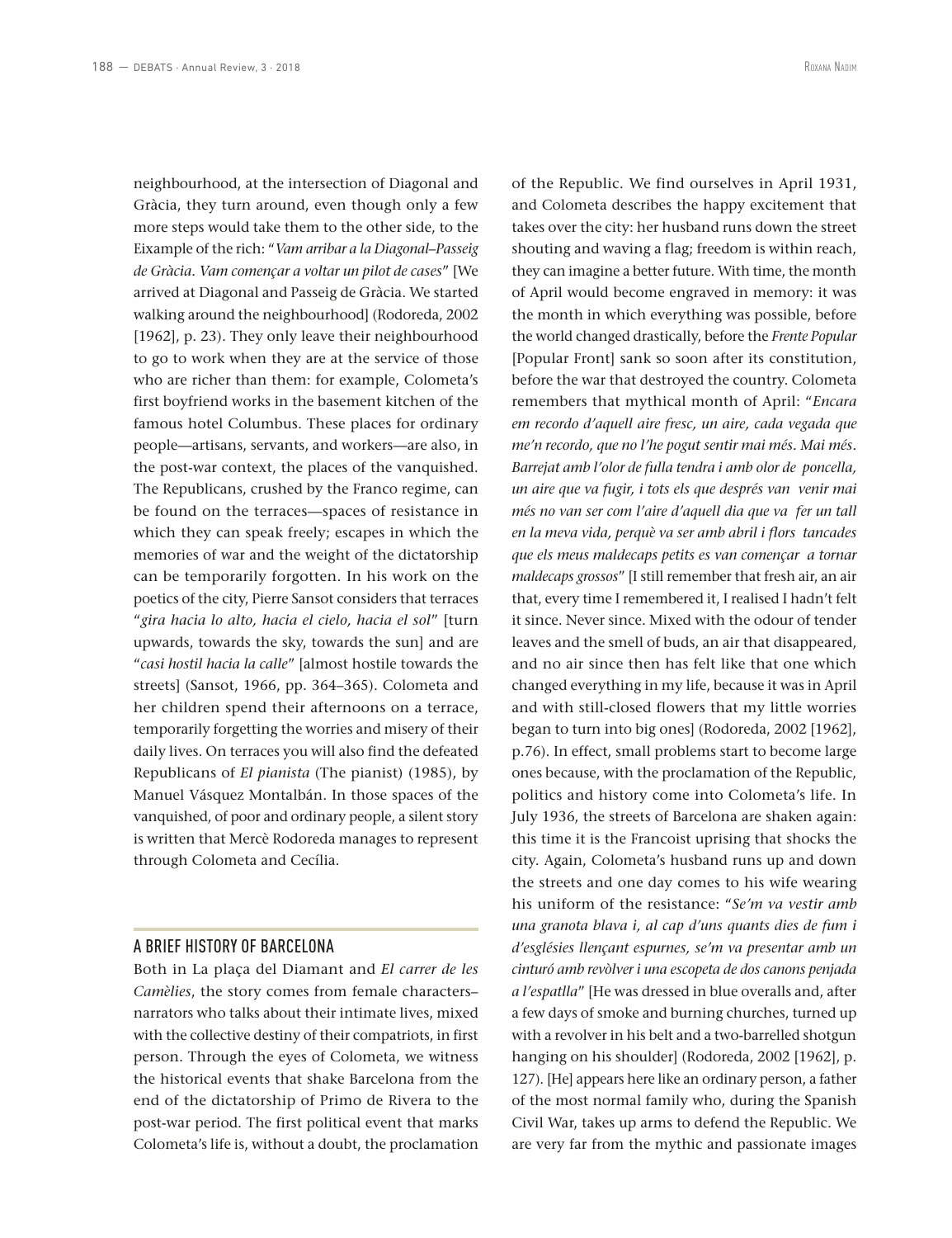neighbourhood, at the intersection of Diagonal and Gràcia, they turn around, even though only a few more steps would take them to the other side, to the Eixample of the rich: "*Vam arribar a la Diagonal–Passeig de Gràcia. Vam començar a voltar un pilot de cases*" [We arrived at Diagonal and Passeig de Gràcia. We started walking around the neighbourhood] (Rodoreda, 2002 [1962], p. 23). They only leave their neighbourhood to go to work when they are at the service of those who are richer than them: for example, Colometa's first boyfriend works in the basement kitchen of the famous hotel Columbus. These places for ordinary people—artisans, servants, and workers—are also, in the post-war context, the places of the vanquished. The Republicans, crushed by the Franco regime, can be found on the terraces—spaces of resistance in which they can speak freely; escapes in which the memories of war and the weight of the dictatorship can be temporarily forgotten. In his work on the poetics of the city, Pierre Sansot considers that terraces "*gira hacia lo alto, hacia el cielo, hacia el sol*" [turn upwards, towards the sky, towards the sun] and are "*casi hostil hacia la calle*" [almost hostile towards the streets] (Sansot, 1966, pp. 364–365). Colometa and her children spend their afternoons on a terrace, temporarily forgetting the worries and misery of their daily lives. On terraces you will also find the defeated Republicans of *El pianista* (The pianist) (1985), by Manuel Vásquez Montalbán. In those spaces of the vanquished, of poor and ordinary people, a silent story is written that Mercè Rodoreda manages to represent through Colometa and Cecília.

## A BRIEF HISTORY OF BARCELONA

Both in La plaça del Diamant and *El carrer de les Camèlies*, the story comes from female characters– narrators who talks about their intimate lives, mixed with the collective destiny of their compatriots, in first person. Through the eyes of Colometa, we witness the historical events that shake Barcelona from the end of the dictatorship of Primo de Rivera to the post-war period. The first political event that marks Colometa's life is, without a doubt, the proclamation

of the Republic. We find ourselves in April 1931, and Colometa describes the happy excitement that takes over the city: her husband runs down the street shouting and waving a flag; freedom is within reach, they can imagine a better future. With time, the month of April would become engraved in memory: it was the month in which everything was possible, before the world changed drastically, before the *Frente Popular*  [Popular Front] sank so soon after its constitution, before the war that destroyed the country. Colometa remembers that mythical month of April: "*Encara em recordo d'aquell aire fresc, un aire, cada vegada que me'n recordo, que no l'he pogut sentir mai més. Mai més. Barrejat amb l'olor de fulla tendra i amb olor de poncella, un aire que va fugir, i tots els que després van venir mai més no van ser com l'aire d'aquell dia que va fer un tall en la meva vida, perquè va ser amb abril i flors tancades que els meus maldecaps petits es van començar a tornar maldecaps grossos*" [I still remember that fresh air, an air that, every time I remembered it, I realised I hadn't felt it since. Never since. Mixed with the odour of tender leaves and the smell of buds, an air that disappeared, and no air since then has felt like that one which changed everything in my life, because it was in April and with still-closed flowers that my little worries began to turn into big ones] (Rodoreda, 2002 [1962], p.76). In effect, small problems start to become large ones because, with the proclamation of the Republic, politics and history come into Colometa's life. In July 1936, the streets of Barcelona are shaken again: this time it is the Francoist uprising that shocks the city. Again, Colometa's husband runs up and down the streets and one day comes to his wife wearing his uniform of the resistance: "*Se'm va vestir amb una granota blava i, al cap d'uns quants dies de fum i d'esglésies llençant espurnes, se'm va presentar amb un cinturó amb revòlver i una escopeta de dos canons penjada a l'espatlla*" [He was dressed in blue overalls and, after a few days of smoke and burning churches, turned up with a revolver in his belt and a two-barrelled shotgun hanging on his shoulder] (Rodoreda, 2002 [1962], p. 127). [He] appears here like an ordinary person, a father of the most normal family who, during the Spanish Civil War, takes up arms to defend the Republic. We are very far from the mythic and passionate images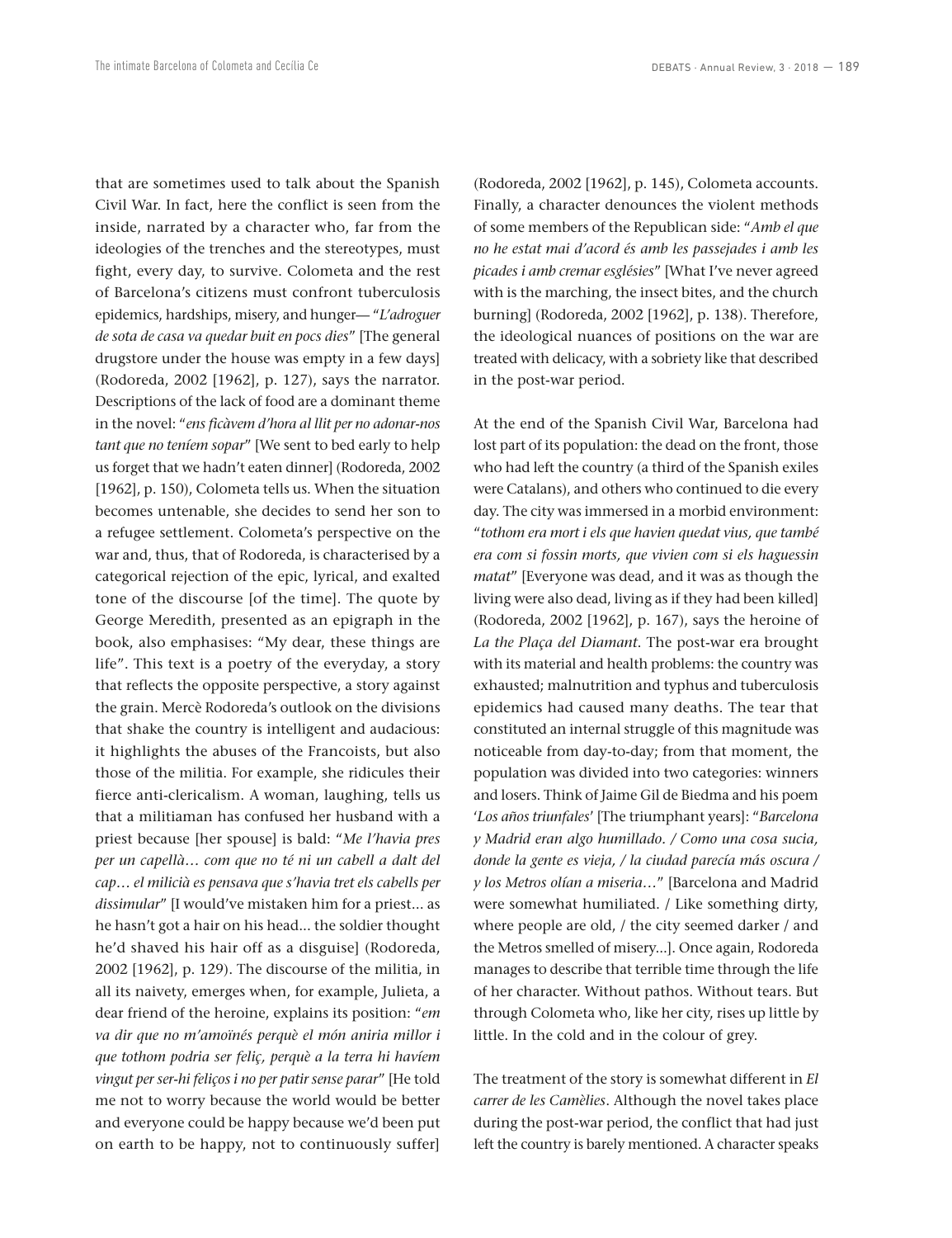that are sometimes used to talk about the Spanish Civil War. In fact, here the conflict is seen from the inside, narrated by a character who, far from the ideologies of the trenches and the stereotypes, must fight, every day, to survive. Colometa and the rest of Barcelona's citizens must confront tuberculosis epidemics, hardships, misery, and hunger— "*L'adroguer de sota de casa va quedar buit en pocs dies*" [The general drugstore under the house was empty in a few days] (Rodoreda, 2002 [1962], p. 127), says the narrator. Descriptions of the lack of food are a dominant theme in the novel: "*ens ficàvem d'hora al llit per no adonar-nos tant que no teníem sopar*" [We sent to bed early to help us forget that we hadn't eaten dinner] (Rodoreda, 2002 [1962], p. 150), Colometa tells us. When the situation becomes untenable, she decides to send her son to a refugee settlement. Colometa's perspective on the war and, thus, that of Rodoreda, is characterised by a categorical rejection of the epic, lyrical, and exalted tone of the discourse [of the time]. The quote by George Meredith, presented as an epigraph in the book, also emphasises: "My dear, these things are life". This text is a poetry of the everyday, a story that reflects the opposite perspective, a story against the grain. Mercè Rodoreda's outlook on the divisions that shake the country is intelligent and audacious: it highlights the abuses of the Francoists, but also those of the militia. For example, she ridicules their fierce anti-clericalism. A woman, laughing, tells us that a militiaman has confused her husband with a priest because [her spouse] is bald: "*Me l'havia pres per un capellà… com que no té ni un cabell a dalt del cap… el milicià es pensava que s'havia tret els cabells per dissimular*" [I would've mistaken him for a priest... as he hasn't got a hair on his head... the soldier thought he'd shaved his hair off as a disguise] (Rodoreda, 2002 [1962], p. 129). The discourse of the militia, in all its naivety, emerges when, for example, Julieta, a dear friend of the heroine, explains its position: "*em va dir que no m'amoïnés perquè el món aniria millor i que tothom podria ser feliç, perquè a la terra hi havíem vingut per ser-hi feliços i no per patir sense parar*" [He told me not to worry because the world would be better and everyone could be happy because we'd been put on earth to be happy, not to continuously suffer] (Rodoreda, 2002 [1962], p. 145), Colometa accounts. Finally, a character denounces the violent methods of some members of the Republican side: "*Amb el que no he estat mai d'acord és amb les passejades i amb les picades i amb cremar esglésies*" [What I've never agreed with is the marching, the insect bites, and the church burning] (Rodoreda, 2002 [1962], p. 138). Therefore, the ideological nuances of positions on the war are treated with delicacy, with a sobriety like that described in the post-war period.

At the end of the Spanish Civil War, Barcelona had lost part of its population: the dead on the front, those who had left the country (a third of the Spanish exiles were Catalans), and others who continued to die every day. The city was immersed in a morbid environment: "*tothom era mort i els que havien quedat vius, que també era com si fossin morts, que vivien com si els haguessin matat*" [Everyone was dead, and it was as though the living were also dead, living as if they had been killed] (Rodoreda, 2002 [1962], p. 167), says the heroine of *La the Plaça del Diamant*. The post-war era brought with its material and health problems: the country was exhausted; malnutrition and typhus and tuberculosis epidemics had caused many deaths. The tear that constituted an internal struggle of this magnitude was noticeable from day-to-day; from that moment, the population was divided into two categories: winners and losers. Think of Jaime Gil de Biedma and his poem '*Los años triunfales*' [The triumphant years]: "*Barcelona y Madrid eran algo humillado. / Como una cosa sucia, donde la gente es vieja, / la ciudad parecía más oscura / y los Metros olían a miseria…*" [Barcelona and Madrid were somewhat humiliated. / Like something dirty, where people are old, / the city seemed darker / and the Metros smelled of misery...]. Once again, Rodoreda manages to describe that terrible time through the life of her character. Without pathos. Without tears. But through Colometa who, like her city, rises up little by little. In the cold and in the colour of grey.

The treatment of the story is somewhat different in *El carrer de les Camèlies*. Although the novel takes place during the post-war period, the conflict that had just left the country is barely mentioned. A character speaks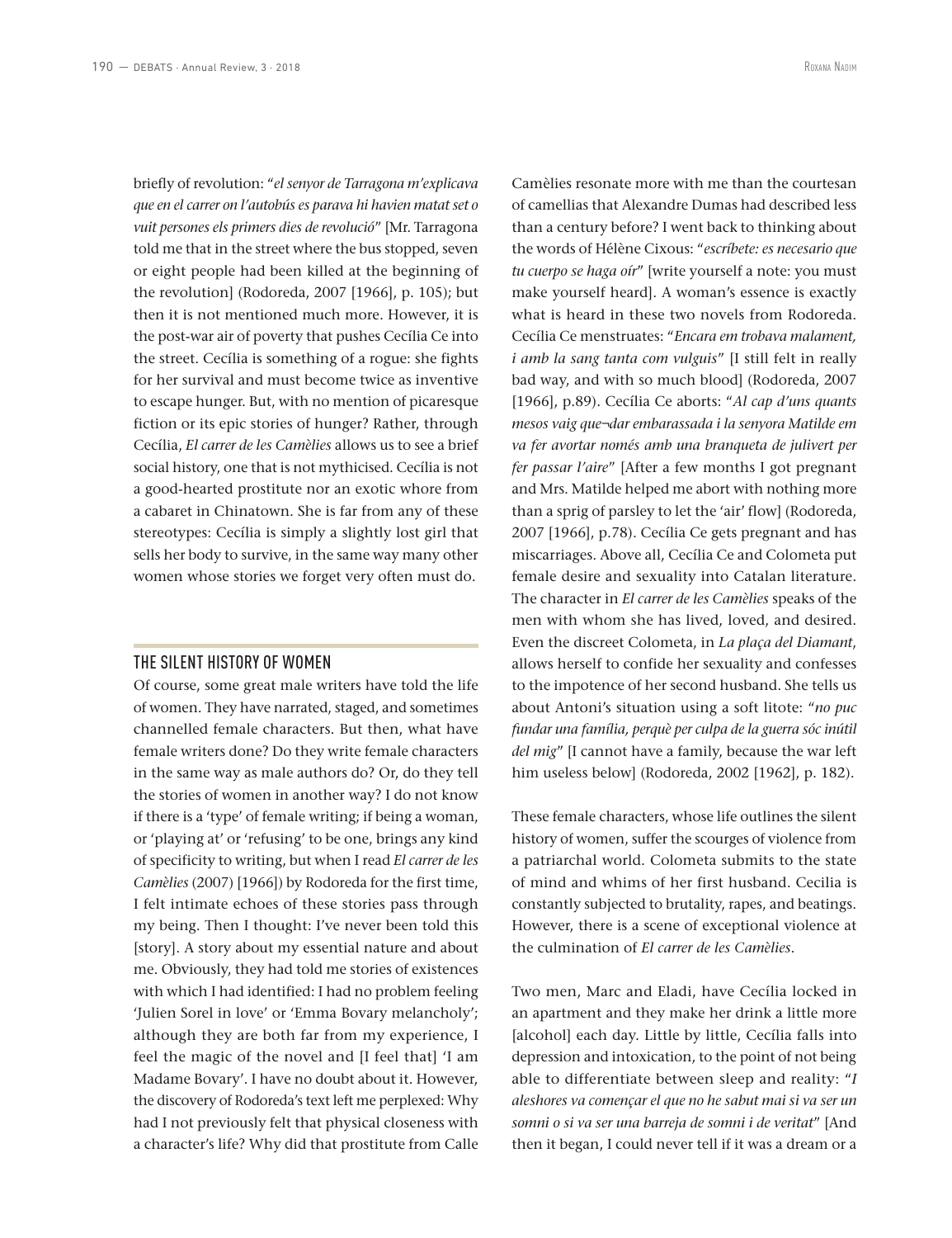briefly of revolution: "*el senyor de Tarragona m'explicava que en el carrer on l'autobús es parava hi havien matat set o vuit persones els primers dies de revolució*" [Mr. Tarragona told me that in the street where the bus stopped, seven or eight people had been killed at the beginning of the revolution] (Rodoreda, 2007 [1966], p. 105); but then it is not mentioned much more. However, it is the post-war air of poverty that pushes Cecília Ce into the street. Cecília is something of a rogue: she fights for her survival and must become twice as inventive to escape hunger. But, with no mention of picaresque fiction or its epic stories of hunger? Rather, through Cecília, *El carrer de les Camèlies* allows us to see a brief social history, one that is not mythicised. Cecília is not a good-hearted prostitute nor an exotic whore from a cabaret in Chinatown. She is far from any of these stereotypes: Cecília is simply a slightly lost girl that sells her body to survive, in the same way many other women whose stories we forget very often must do.

### THE SILENT HISTORY OF WOMEN

Of course, some great male writers have told the life of women. They have narrated, staged, and sometimes channelled female characters. But then, what have female writers done? Do they write female characters in the same way as male authors do? Or, do they tell the stories of women in another way? I do not know if there is a 'type' of female writing; if being a woman, or 'playing at' or 'refusing' to be one, brings any kind of specificity to writing, but when I read *El carrer de les Camèlies* (2007) [1966]) by Rodoreda for the first time, I felt intimate echoes of these stories pass through my being. Then I thought: I've never been told this [story]. A story about my essential nature and about me. Obviously, they had told me stories of existences with which I had identified: I had no problem feeling 'Julien Sorel in love' or 'Emma Bovary melancholy'; although they are both far from my experience, I feel the magic of the novel and [I feel that] 'I am Madame Bovary'. I have no doubt about it. However, the discovery of Rodoreda's text left me perplexed: Why had I not previously felt that physical closeness with a character's life? Why did that prostitute from Calle

Camèlies resonate more with me than the courtesan of camellias that Alexandre Dumas had described less than a century before? I went back to thinking about the words of Hélène Cixous: "*escríbete: es necesario que tu cuerpo se haga oír*" [write yourself a note: you must make yourself heard]. A woman's essence is exactly what is heard in these two novels from Rodoreda. Cecília Ce menstruates: "*Encara em trobava malament, i amb la sang tanta com vulguis*" [I still felt in really bad way, and with so much blood] (Rodoreda, 2007 [1966], p.89). Cecília Ce aborts: "*Al cap d'uns quants mesos vaig que¬dar embarassada i la senyora Matilde em va fer avortar només amb una branqueta de julivert per fer passar l'aire*" [After a few months I got pregnant and Mrs. Matilde helped me abort with nothing more than a sprig of parsley to let the 'air' flow] (Rodoreda, 2007 [1966], p.78). Cecília Ce gets pregnant and has miscarriages. Above all, Cecília Ce and Colometa put female desire and sexuality into Catalan literature. The character in *El carrer de les Camèlies* speaks of the men with whom she has lived, loved, and desired. Even the discreet Colometa, in *La plaça del Diamant*, allows herself to confide her sexuality and confesses to the impotence of her second husband. She tells us about Antoni's situation using a soft litote: "*no puc fundar una família, perquè per culpa de la guerra sóc inútil del mig*" [I cannot have a family, because the war left him useless below] (Rodoreda, 2002 [1962], p. 182).

These female characters, whose life outlines the silent history of women, suffer the scourges of violence from a patriarchal world. Colometa submits to the state of mind and whims of her first husband. Cecilia is constantly subjected to brutality, rapes, and beatings. However, there is a scene of exceptional violence at the culmination of *El carrer de les Camèlies*.

Two men, Marc and Eladi, have Cecília locked in an apartment and they make her drink a little more [alcohol] each day. Little by little, Cecília falls into depression and intoxication, to the point of not being able to differentiate between sleep and reality: "*I aleshores va començar el que no he sabut mai si va ser un somni o si va ser una barreja de somni i de veritat*" [And then it began, I could never tell if it was a dream or a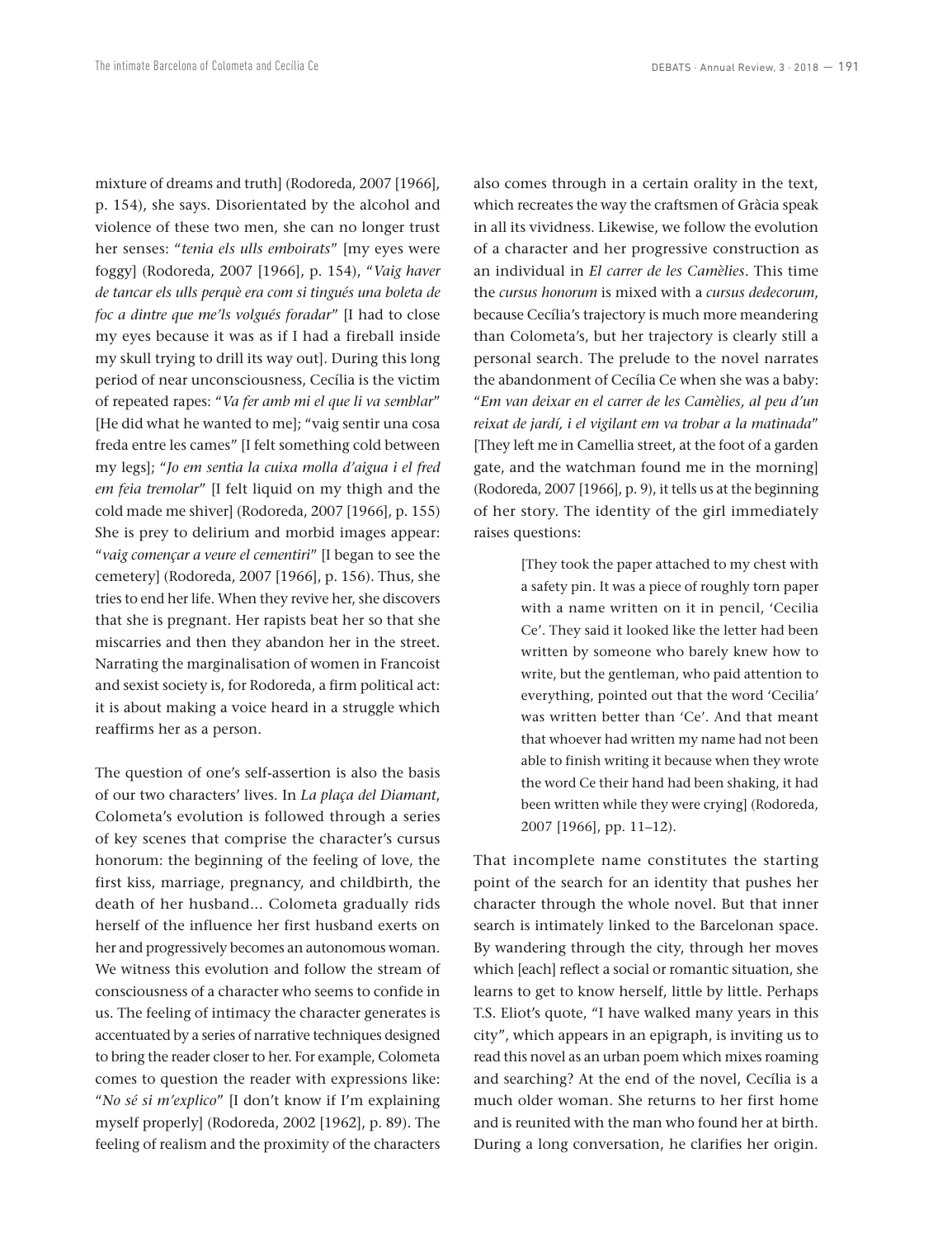mixture of dreams and truth] (Rodoreda, 2007 [1966], p. 154), she says. Disorientated by the alcohol and violence of these two men, she can no longer trust her senses: "*tenia els ulls emboirats*" [my eyes were foggy] (Rodoreda, 2007 [1966], p. 154), "*Vaig haver de tancar els ulls perquè era com si tingués una boleta de foc a dintre que me'ls volgués foradar*" [I had to close my eyes because it was as if I had a fireball inside my skull trying to drill its way out]. During this long period of near unconsciousness, Cecília is the victim of repeated rapes: "*Va fer amb mi el que li va semblar*" [He did what he wanted to me]; "vaig sentir una cosa freda entre les cames" [I felt something cold between my legs]; "*Jo em sentia la cuixa molla d'aigua i el fred em feia tremolar*" [I felt liquid on my thigh and the cold made me shiver] (Rodoreda, 2007 [1966], p. 155) She is prey to delirium and morbid images appear: "*vaig començar a veure el cementiri*" [I began to see the cemetery] (Rodoreda, 2007 [1966], p. 156). Thus, she tries to end her life. When they revive her, she discovers that she is pregnant. Her rapists beat her so that she miscarries and then they abandon her in the street. Narrating the marginalisation of women in Francoist and sexist society is, for Rodoreda, a firm political act: it is about making a voice heard in a struggle which reaffirms her as a person.

The question of one's self-assertion is also the basis of our two characters' lives. In *La plaça del Diamant*, Colometa's evolution is followed through a series of key scenes that comprise the character's cursus honorum: the beginning of the feeling of love, the first kiss, marriage, pregnancy, and childbirth, the death of her husband... Colometa gradually rids herself of the influence her first husband exerts on her and progressively becomes an autonomous woman. We witness this evolution and follow the stream of consciousness of a character who seems to confide in us. The feeling of intimacy the character generates is accentuated by a series of narrative techniques designed to bring the reader closer to her. For example, Colometa comes to question the reader with expressions like: "*No sé si m'explico*" [I don't know if I'm explaining myself properly] (Rodoreda, 2002 [1962], p. 89). The feeling of realism and the proximity of the characters also comes through in a certain orality in the text, which recreates the way the craftsmen of Gràcia speak in all its vividness. Likewise, we follow the evolution of a character and her progressive construction as an individual in *El carrer de les Camèlies*. This time the *cursus honorum* is mixed with a *cursus dedecorum*, because Cecília's trajectory is much more meandering than Colometa's, but her trajectory is clearly still a personal search. The prelude to the novel narrates the abandonment of Cecília Ce when she was a baby: "*Em van deixar en el carrer de les Camèlies, al peu d'un reixat de jardí, i el vigilant em va trobar a la matinada*" [They left me in Camellia street, at the foot of a garden gate, and the watchman found me in the morning] (Rodoreda, 2007 [1966], p. 9), it tells us at the beginning of her story. The identity of the girl immediately raises questions:

> [They took the paper attached to my chest with a safety pin. It was a piece of roughly torn paper with a name written on it in pencil, 'Cecilia Ce'. They said it looked like the letter had been written by someone who barely knew how to write, but the gentleman, who paid attention to everything, pointed out that the word 'Cecilia' was written better than 'Ce'. And that meant that whoever had written my name had not been able to finish writing it because when they wrote the word Ce their hand had been shaking, it had been written while they were crying] (Rodoreda, 2007 [1966], pp. 11–12).

That incomplete name constitutes the starting point of the search for an identity that pushes her character through the whole novel. But that inner search is intimately linked to the Barcelonan space. By wandering through the city, through her moves which [each] reflect a social or romantic situation, she learns to get to know herself, little by little. Perhaps T.S. Eliot's quote, "I have walked many years in this city", which appears in an epigraph, is inviting us to read this novel as an urban poem which mixes roaming and searching? At the end of the novel, Cecília is a much older woman. She returns to her first home and is reunited with the man who found her at birth. During a long conversation, he clarifies her origin.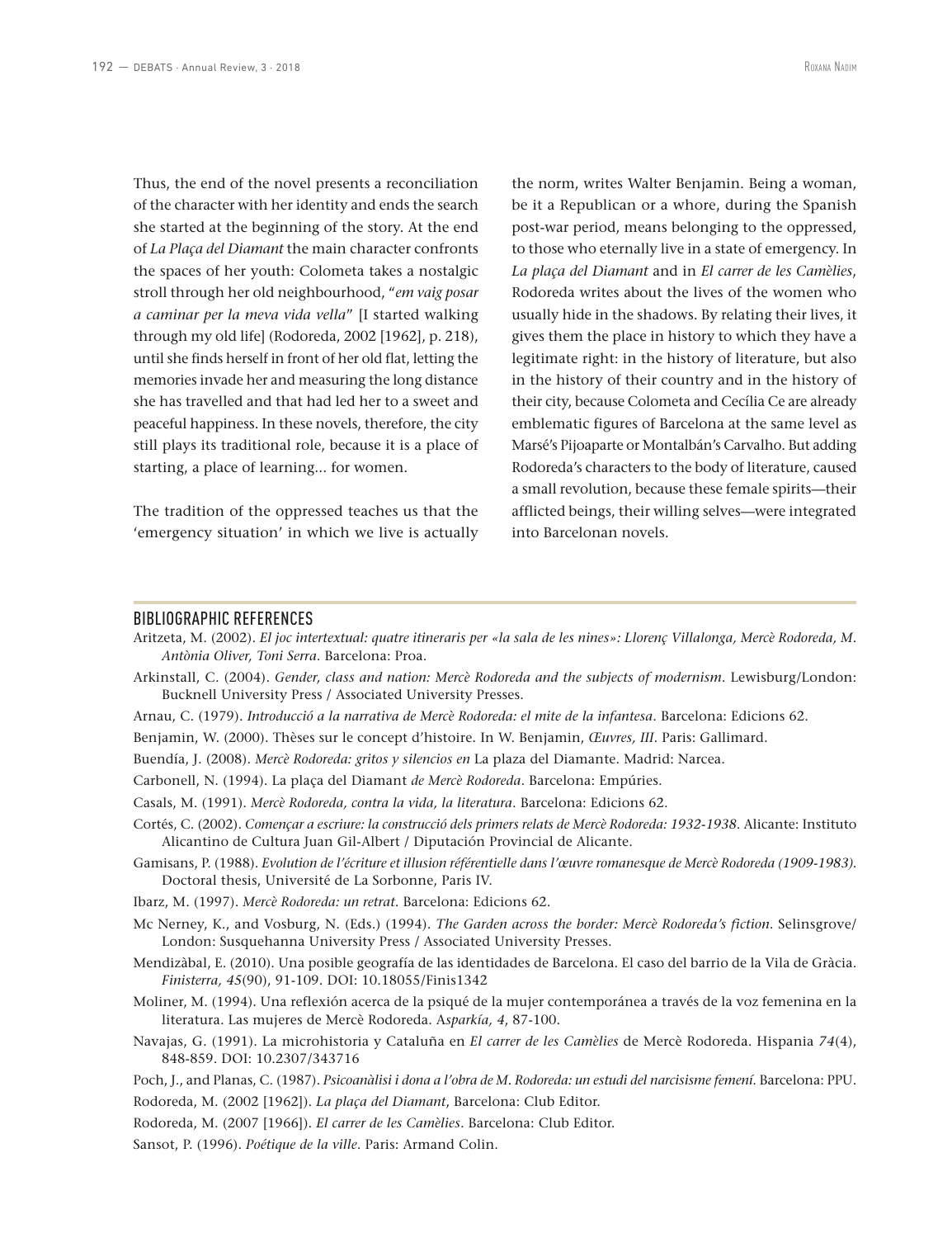Thus, the end of the novel presents a reconciliation of the character with her identity and ends the search she started at the beginning of the story. At the end of *La Plaça del Diamant* the main character confronts the spaces of her youth: Colometa takes a nostalgic stroll through her old neighbourhood, "*em vaig posar a caminar per la meva vida vella*" [I started walking through my old life] (Rodoreda, 2002 [1962], p. 218), until she finds herself in front of her old flat, letting the memories invade her and measuring the long distance she has travelled and that had led her to a sweet and peaceful happiness. In these novels, therefore, the city still plays its traditional role, because it is a place of starting, a place of learning... for women.

The tradition of the oppressed teaches us that the 'emergency situation' in which we live is actually the norm, writes Walter Benjamin. Being a woman, be it a Republican or a whore, during the Spanish post-war period, means belonging to the oppressed, to those who eternally live in a state of emergency. In *La plaça del Diamant* and in *El carrer de les Camèlies*, Rodoreda writes about the lives of the women who usually hide in the shadows. By relating their lives, it gives them the place in history to which they have a legitimate right: in the history of literature, but also in the history of their country and in the history of their city, because Colometa and Cecília Ce are already emblematic figures of Barcelona at the same level as Marsé's Pijoaparte or Montalbán's Carvalho. But adding Rodoreda's characters to the body of literature, caused a small revolution, because these female spirits—their afflicted beings, their willing selves—were integrated into Barcelonan novels.

#### BIBLIOGRAPHIC REFERENCES

- Aritzeta, M. (2002). *El joc intertextual: quatre itineraris per «la sala de les nines»: Llorenç Villalonga, Mercè Rodoreda, M. Antònia Oliver, Toni Serra*. Barcelona: Proa.
- Arkinstall, C. (2004). *Gender, class and nation: Mercè Rodoreda and the subjects of modernism*. Lewisburg/London: Bucknell University Press / Associated University Presses.
- Arnau, C. (1979). *Introducció a la narrativa de Mercè Rodoreda: el mite de la infantesa*. Barcelona: Edicions 62.
- Benjamin, W. (2000). Thèses sur le concept d'histoire*.* In W. Benjamin, *Œuvres, III*. Paris: Gallimard.
- Buendía, J. (2008). *Mercè Rodoreda: gritos y silencios en* La plaza del Diamante. Madrid: Narcea.
- Carbonell, N. (1994). La plaça del Diamant *de Mercè Rodoreda*. Barcelona: Empúries.
- Casals, M. (1991). *Mercè Rodoreda, contra la vida, la literatura*. Barcelona: Edicions 62.
- Cortés, C. (2002). *Començar a escriure: la construcció dels primers relats de Mercè Rodoreda: 1932-1938*. Alicante: Instituto Alicantino de Cultura Juan Gil-Albert / Diputación Provincial de Alicante.
- Gamisans, P. (1988). *Evolution de l'écriture et illusion référentielle dans l'œuvre romanesque de Mercè Rodoreda (1909-1983)*. Doctoral thesis, Université de La Sorbonne, Paris IV.
- Ibarz, M. (1997). *Mercè Rodoreda: un retrat*. Barcelona: Edicions 62.
- Mc Nerney, K., and Vosburg, N. (Eds.) (1994). *The Garden across the border: Mercè Rodoreda's fiction*. Selinsgrove/ London: Susquehanna University Press / Associated University Presses.
- Mendizàbal, E. (2010). Una posible geografía de las identidades de Barcelona. El caso del barrio de la Vila de Gràcia. *Finisterra, 45*(90), 91-109. DOI: 10.18055/Finis1342
- Moliner, M. (1994). Una reflexión acerca de la psiqué de la mujer contemporánea a través de la voz femenina en la literatura. Las mujeres de Mercè Rodoreda. A*sparkía, 4*, 87-100.
- Navajas, G. (1991). La microhistoria y Cataluña en *El carrer de les Camèlies* de Mercè Rodoreda. Hispania *74*(4), 848-859. DOI: 10.2307/343716
- Poch, J., and Planas, C. (1987). *Psicoanàlisi i dona a l'obra de M. Rodoreda: un estudi del narcisisme femení*. Barcelona: PPU. Rodoreda, M. (2002 [1962]). *La plaça del Diamant*, Barcelona: Club Editor.
- Rodoreda, M. (2007 [1966]). *El carrer de les Camèlies*. Barcelona: Club Editor.
- Sansot, P. (1996). *Poétique de la ville*. Paris: Armand Colin.